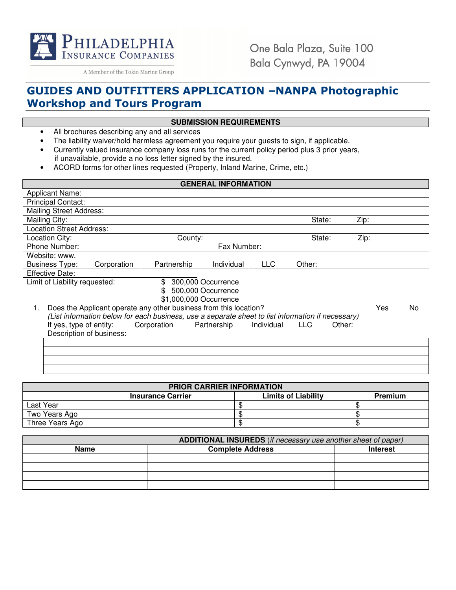

One Bala Plaza, Suite 100 Bala Cynwyd, PA 19004

A Member of the Tokio Marine Group

## GUIDES AND OUTFITTERS APPLICATION –NANPA Photographic Workshop and Tours Program

### **SUBMISSION REQUIREMENTS**

- All brochures describing any and all services
- The liability waiver/hold harmless agreement you require your guests to sign, if applicable.
- Currently valued insurance company loss runs for the current policy period plus 3 prior years, if unavailable, provide a no loss letter signed by the insured.
- ACORD forms for other lines requested (Property, Inland Marine, Crime, etc.)

| <b>GENERAL INFORMATION</b>                                                                        |                        |             |            |            |        |     |     |
|---------------------------------------------------------------------------------------------------|------------------------|-------------|------------|------------|--------|-----|-----|
| <b>Applicant Name:</b>                                                                            |                        |             |            |            |        |     |     |
| <b>Principal Contact:</b>                                                                         |                        |             |            |            |        |     |     |
| <b>Mailing Street Address:</b>                                                                    |                        |             |            |            |        |     |     |
| Mailing City:                                                                                     |                        |             |            | State:     | Zip:   |     |     |
| <b>Location Street Address:</b>                                                                   |                        |             |            |            |        |     |     |
| Location City:                                                                                    | County:                |             |            | State:     | Zip:   |     |     |
| Phone Number:                                                                                     |                        | Fax Number: |            |            |        |     |     |
| Website: www.                                                                                     |                        |             |            |            |        |     |     |
| <b>Business Type:</b><br>Corporation                                                              | Partnership            | Individual  | <b>LLC</b> | Other:     |        |     |     |
| <b>Effective Date:</b>                                                                            |                        |             |            |            |        |     |     |
| Limit of Liability requested:                                                                     | 300,000 Occurrence     |             |            |            |        |     |     |
|                                                                                                   | 500,000 Occurrence     |             |            |            |        |     |     |
|                                                                                                   | \$1,000,000 Occurrence |             |            |            |        |     |     |
| Does the Applicant operate any other business from this location?<br>1.                           |                        |             |            |            |        | Yes | No. |
| (List information below for each business, use a separate sheet to list information if necessary) |                        |             |            |            |        |     |     |
| If yes, type of entity:<br>Corporation                                                            |                        | Partnership | Individual | <b>LLC</b> | Other: |     |     |
| Description of business:                                                                          |                        |             |            |            |        |     |     |
|                                                                                                   |                        |             |            |            |        |     |     |
|                                                                                                   |                        |             |            |            |        |     |     |
|                                                                                                   |                        |             |            |            |        |     |     |

| <b>PRIOR CARRIER INFORMATION</b> |                          |                            |                |  |  |
|----------------------------------|--------------------------|----------------------------|----------------|--|--|
|                                  | <b>Insurance Carrier</b> | <b>Limits of Liability</b> | <b>Premium</b> |  |  |
| Last Year                        |                          |                            |                |  |  |
| Two Years Ago                    |                          |                            |                |  |  |
| Three Years Ago                  |                          |                            |                |  |  |

| <b>ADDITIONAL INSUREDS</b> (if necessary use another sheet of paper) |                                            |  |  |  |
|----------------------------------------------------------------------|--------------------------------------------|--|--|--|
| <b>Name</b>                                                          | <b>Complete Address</b><br><b>Interest</b> |  |  |  |
|                                                                      |                                            |  |  |  |
|                                                                      |                                            |  |  |  |
|                                                                      |                                            |  |  |  |
|                                                                      |                                            |  |  |  |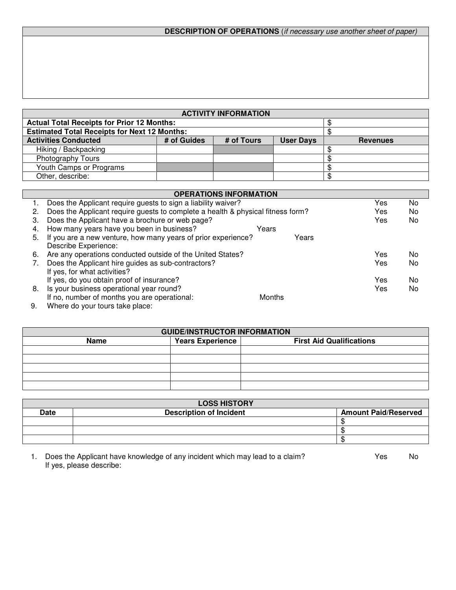# **DESCRIPTION OF OPERATIONS** (if necessary use another sheet of paper)

| <b>ACTIVITY INFORMATION</b>                         |             |            |                  |                 |
|-----------------------------------------------------|-------------|------------|------------------|-----------------|
| <b>Actual Total Receipts for Prior 12 Months:</b>   |             |            |                  |                 |
| <b>Estimated Total Receipts for Next 12 Months:</b> |             |            |                  |                 |
| <b>Activities Conducted</b>                         | # of Guides | # of Tours | <b>User Days</b> | <b>Revenues</b> |
| Hiking / Backpacking                                |             |            |                  |                 |
| <b>Photography Tours</b>                            |             |            |                  |                 |
| Youth Camps or Programs                             |             |            |                  |                 |
| Other, describe:                                    |             |            |                  |                 |

|              | <b>OPERATIONS INFORMATION</b>                                                   |               |       |     |    |  |
|--------------|---------------------------------------------------------------------------------|---------------|-------|-----|----|--|
|              | Does the Applicant require guests to sign a liability waiver?                   |               |       | Yes | No |  |
| 2.           | Does the Applicant require guests to complete a health & physical fitness form? |               |       | Yes | No |  |
| З.           | Does the Applicant have a brochure or web page?                                 |               |       | Yes | No |  |
| 4.           | How many years have you been in business?                                       | Years         |       |     |    |  |
| 5.           | If you are a new venture, how many years of prior experience?                   |               | Years |     |    |  |
|              | Describe Experience:                                                            |               |       |     |    |  |
| 6.           | Are any operations conducted outside of the United States?                      |               |       | Yes | No |  |
|              | Does the Applicant hire guides as sub-contractors?                              |               |       | Yes | No |  |
|              | If yes, for what activities?                                                    |               |       |     |    |  |
|              | If yes, do you obtain proof of insurance?                                       |               |       | Yes | No |  |
| 8.           | Is your business operational year round?                                        |               |       | Yes | No |  |
|              | If no, number of months you are operational:                                    | <b>Months</b> |       |     |    |  |
| <sup>o</sup> | Mh                                                                              |               |       |     |    |  |

 9. Where do your tours take place:

| <b>GUIDE/INSTRUCTOR INFORMATION</b> |                         |                                 |  |  |
|-------------------------------------|-------------------------|---------------------------------|--|--|
| <b>Name</b>                         | <b>Years Experience</b> | <b>First Aid Qualifications</b> |  |  |
|                                     |                         |                                 |  |  |
|                                     |                         |                                 |  |  |
|                                     |                         |                                 |  |  |
|                                     |                         |                                 |  |  |
|                                     |                         |                                 |  |  |

| <b>LOSS HISTORY</b> |                                |                             |  |  |
|---------------------|--------------------------------|-----------------------------|--|--|
| Date                | <b>Description of Incident</b> | <b>Amount Paid/Reserved</b> |  |  |
|                     |                                |                             |  |  |
|                     |                                |                             |  |  |
|                     |                                |                             |  |  |

<sup>1.</sup> Does the Applicant have knowledge of any incident which may lead to a claim? Yes Yes No If yes, please describe: